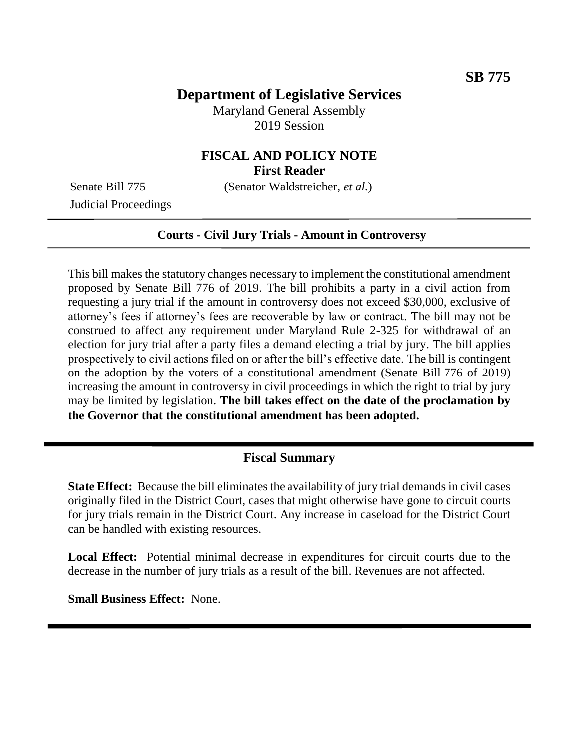# **Department of Legislative Services**

Maryland General Assembly 2019 Session

## **FISCAL AND POLICY NOTE First Reader**

Judicial Proceedings

Senate Bill 775 (Senator Waldstreicher, *et al.*)

#### **Courts - Civil Jury Trials - Amount in Controversy**

This bill makes the statutory changes necessary to implement the constitutional amendment proposed by Senate Bill 776 of 2019. The bill prohibits a party in a civil action from requesting a jury trial if the amount in controversy does not exceed \$30,000, exclusive of attorney's fees if attorney's fees are recoverable by law or contract. The bill may not be construed to affect any requirement under Maryland Rule 2-325 for withdrawal of an election for jury trial after a party files a demand electing a trial by jury. The bill applies prospectively to civil actions filed on or after the bill's effective date. The bill is contingent on the adoption by the voters of a constitutional amendment (Senate Bill 776 of 2019) increasing the amount in controversy in civil proceedings in which the right to trial by jury may be limited by legislation. **The bill takes effect on the date of the proclamation by the Governor that the constitutional amendment has been adopted.** 

### **Fiscal Summary**

**State Effect:** Because the bill eliminates the availability of jury trial demands in civil cases originally filed in the District Court, cases that might otherwise have gone to circuit courts for jury trials remain in the District Court. Any increase in caseload for the District Court can be handled with existing resources.

**Local Effect:** Potential minimal decrease in expenditures for circuit courts due to the decrease in the number of jury trials as a result of the bill. Revenues are not affected.

**Small Business Effect:** None.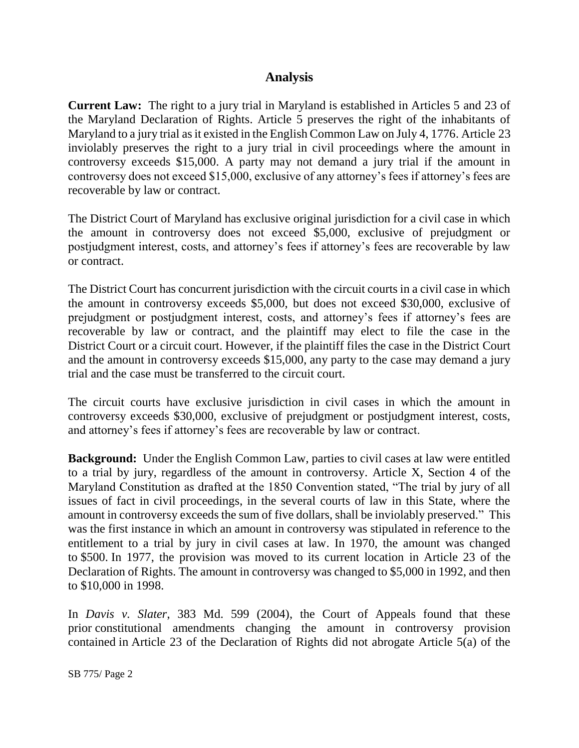## **Analysis**

**Current Law:** The right to a jury trial in Maryland is established in Articles 5 and 23 of the Maryland Declaration of Rights. Article 5 preserves the right of the inhabitants of Maryland to a jury trial as it existed in the English Common Law on July 4, 1776. Article 23 inviolably preserves the right to a jury trial in civil proceedings where the amount in controversy exceeds \$15,000. A party may not demand a jury trial if the amount in controversy does not exceed \$15,000, exclusive of any attorney's fees if attorney's fees are recoverable by law or contract.

The District Court of Maryland has exclusive original jurisdiction for a civil case in which the amount in controversy does not exceed \$5,000, exclusive of prejudgment or postjudgment interest, costs, and attorney's fees if attorney's fees are recoverable by law or contract.

The District Court has concurrent jurisdiction with the circuit courts in a civil case in which the amount in controversy exceeds \$5,000, but does not exceed \$30,000, exclusive of prejudgment or postjudgment interest, costs, and attorney's fees if attorney's fees are recoverable by law or contract, and the plaintiff may elect to file the case in the District Court or a circuit court. However, if the plaintiff files the case in the District Court and the amount in controversy exceeds \$15,000, any party to the case may demand a jury trial and the case must be transferred to the circuit court.

The circuit courts have exclusive jurisdiction in civil cases in which the amount in controversy exceeds \$30,000, exclusive of prejudgment or postjudgment interest, costs, and attorney's fees if attorney's fees are recoverable by law or contract.

**Background:** Under the English Common Law, parties to civil cases at law were entitled to a trial by jury, regardless of the amount in controversy. Article X, Section 4 of the Maryland Constitution as drafted at the 1850 Convention stated, "The trial by jury of all issues of fact in civil proceedings, in the several courts of law in this State, where the amount in controversy exceeds the sum of five dollars, shall be inviolably preserved." This was the first instance in which an amount in controversy was stipulated in reference to the entitlement to a trial by jury in civil cases at law. In 1970, the amount was changed to \$500. In 1977, the provision was moved to its current location in Article 23 of the Declaration of Rights. The amount in controversy was changed to \$5,000 in 1992, and then to \$10,000 in 1998.

In *Davis v. Slater*, 383 Md. 599 (2004), the Court of Appeals found that these prior constitutional amendments changing the amount in controversy provision contained in Article 23 of the Declaration of Rights did not abrogate Article 5(a) of the